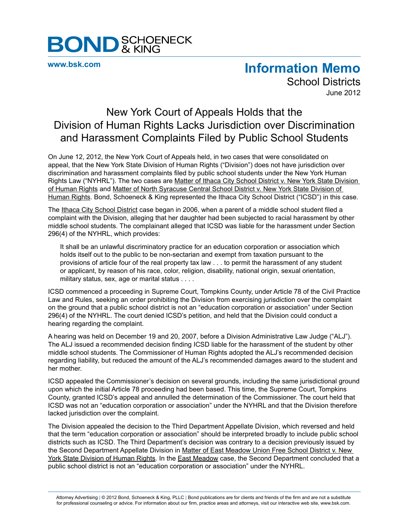

**[www.bsk.com](http://www.bsk.com/index.cfm)**

## **Information Memo**

School Districts June 2012

## New York Court of Appeals Holds that the Division of Human Rights Lacks Jurisdiction over Discrimination and Harassment Complaints Filed by Public School Students

On June 12, 2012, the New York Court of Appeals held, in two cases that were consolidated on appeal, that the New York State Division of Human Rights ("Division") does not have jurisdiction over discrimination and harassment complaints filed by public school students under the New York Human Rights Law ("NYHRL"). The two cases are Matter of Ithaca City School District v. New York State Division of Human Rights and Matter of North Syracuse Central School District v. New York State Division of Human Rights. Bond, Schoeneck & King represented the Ithaca City School District ("ICSD") in this case.

The Ithaca City School District case began in 2006, when a parent of a middle school student filed a complaint with the Division, alleging that her daughter had been subjected to racial harassment by other middle school students. The complainant alleged that ICSD was liable for the harassment under Section 296(4) of the NYHRL, which provides:

It shall be an unlawful discriminatory practice for an education corporation or association which holds itself out to the public to be non-sectarian and exempt from taxation pursuant to the provisions of article four of the real property tax law . . . to permit the harassment of any student or applicant, by reason of his race, color, religion, disability, national origin, sexual orientation, military status, sex, age or marital status . . . .

ICSD commenced a proceeding in Supreme Court, Tompkins County, under Article 78 of the Civil Practice Law and Rules, seeking an order prohibiting the Division from exercising jurisdiction over the complaint on the ground that a public school district is not an "education corporation or association" under Section 296(4) of the NYHRL. The court denied ICSD's petition, and held that the Division could conduct a hearing regarding the complaint.

A hearing was held on December 19 and 20, 2007, before a Division Administrative Law Judge ("ALJ"). The ALJ issued a recommended decision finding ICSD liable for the harassment of the student by other middle school students. The Commissioner of Human Rights adopted the ALJ's recommended decision regarding liability, but reduced the amount of the ALJ's recommended damages award to the student and her mother.

ICSD appealed the Commissioner's decision on several grounds, including the same jurisdictional ground upon which the initial Article 78 proceeding had been based. This time, the Supreme Court, Tompkins County, granted ICSD's appeal and annulled the determination of the Commissioner. The court held that ICSD was not an "education corporation or association" under the NYHRL and that the Division therefore lacked jurisdiction over the complaint.

The Division appealed the decision to the Third Department Appellate Division, which reversed and held that the term "education corporation or association" should be interpreted broadly to include public school districts such as ICSD. The Third Department's decision was contrary to a decision previously issued by the Second Department Appellate Division in Matter of East Meadow Union Free School District v. New York State Division of Human Rights. In the East Meadow case, the Second Department concluded that a public school district is not an "education corporation or association" under the NYHRL.